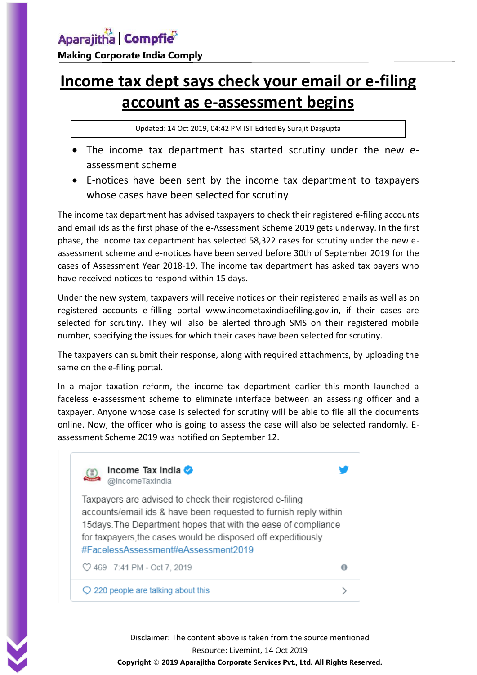## **Income tax dept says check your email or e-filing account as e-assessment begins**

Updated: 14 Oct 2019, 04:42 PM IST Edited By Surajit Dasgupta

- The income tax department has started scrutiny under the new eassessment scheme
- E-notices have been sent by the income tax department to taxpayers whose cases have been selected for scrutiny

The income tax department has advised taxpayers to check their registered e-filing accounts and email ids as the first phase of the e-Assessment Scheme 2019 gets underway. In the first phase, the income tax department has selected 58,322 cases for scrutiny under the new eassessment scheme and e-notices have been served before 30th of September 2019 for the cases of Assessment Year 2018-19. The income tax department has asked tax payers who have received notices to respond within 15 days.

Under the new system, taxpayers will receive notices on their registered emails as well as on registered accounts e-filling portal www.incometaxindiaefiling.gov.in, if their cases are selected for scrutiny. They will also be alerted through SMS on their registered mobile number, specifying the issues for which their cases have been selected for scrutiny.

The taxpayers can submit their response, along with required attachments, by uploading the same on the e-filing portal.

In a major taxation reform, the income tax department earlier this month launched a faceless e-assessment scheme to eliminate interface between an assessing officer and a taxpayer. Anyone whose case is selected for scrutiny will be able to file all the documents online. Now, the officer who is going to assess the case will also be selected randomly. Eassessment Scheme 2019 was notified on September 12.



Disclaimer: The content above is taken from the source mentioned Resource: Livemint, 14 Oct 2019

**Copyright** © **2019 Aparajitha Corporate Services Pvt., Ltd. All Rights Reserved.**